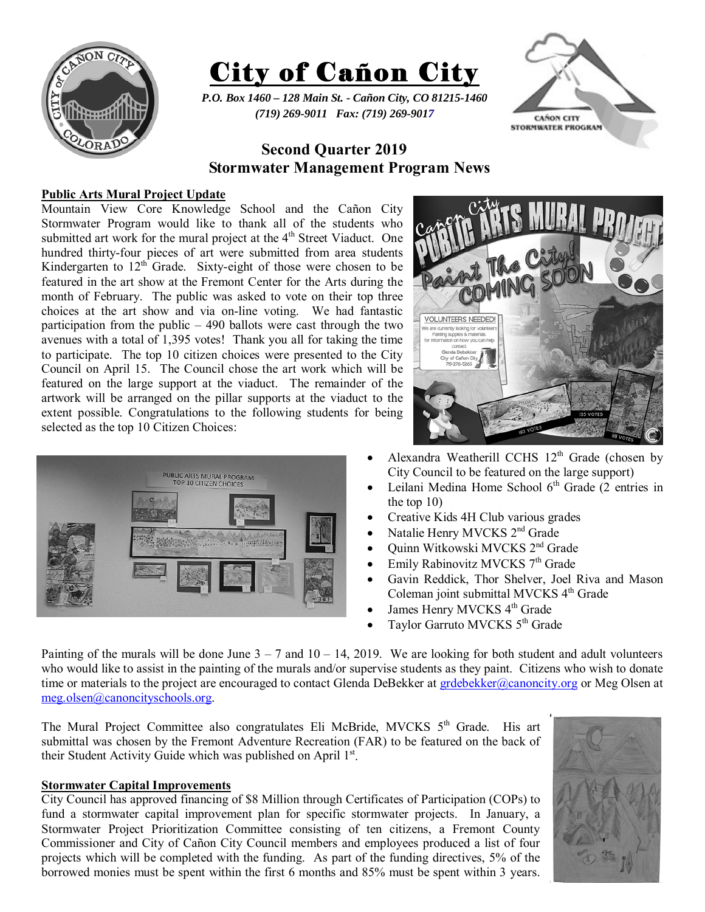



*P.O. Box 1460 – 128 Main St. - Cañon City, CO 81215-1460 (719) 269-9011 Fax: (719) 269-9017* 



# **Second Quarter 2019 Stormwater Management Program News**

# **Public Arts Mural Project Update**

Mountain View Core Knowledge School and the Cañon City Stormwater Program would like to thank all of the students who submitted art work for the mural project at the 4<sup>th</sup> Street Viaduct. One hundred thirty-four pieces of art were submitted from area students Kindergarten to  $12<sup>th</sup>$  Grade. Sixty-eight of those were chosen to be featured in the art show at the Fremont Center for the Arts during the month of February. The public was asked to vote on their top three choices at the art show and via on-line voting. We had fantastic participation from the public  $-490$  ballots were cast through the two avenues with a total of 1,395 votes! Thank you all for taking the time to participate. The top 10 citizen choices were presented to the City Council on April 15. The Council chose the art work which will be featured on the large support at the viaduct. The remainder of the artwork will be arranged on the pillar supports at the viaduct to the extent possible. Congratulations to the following students for being selected as the top 10 Citizen Choices:





- Alexandra Weatherill CCHS  $12<sup>th</sup>$  Grade (chosen by City Council to be featured on the large support)
- Leilani Medina Home School  $6<sup>th</sup>$  Grade (2 entries in the top 10)
- Creative Kids 4H Club various grades
- Natalie Henry MVCKS 2nd Grade
- Quinn Witkowski MVCKS 2<sup>nd</sup> Grade
- Emily Rabinovitz MVCKS 7<sup>th</sup> Grade
- Gavin Reddick, Thor Shelver, Joel Riva and Mason Coleman joint submittal MVCKS 4<sup>th</sup> Grade
- James Henry MVCKS 4<sup>th</sup> Grade
- Taylor Garruto MVCKS 5<sup>th</sup> Grade

Painting of the murals will be done June  $3 - 7$  and  $10 - 14$ , 2019. We are looking for both student and adult volunteers who would like to assist in the painting of the murals and/or supervise students as they paint. Citizens who wish to donate time or materials to the project are encouraged to contact Glenda DeBekker at grdebekker@canoncity.org or Meg Olsen at meg.olsen@canoncityschools.org.

The Mural Project Committee also congratulates Eli McBride, MVCKS 5<sup>th</sup> Grade. His art submittal was chosen by the Fremont Adventure Recreation (FAR) to be featured on the back of their Student Activity Guide which was published on April 1st.

#### **Stormwater Capital Improvements**

City Council has approved financing of \$8 Million through Certificates of Participation (COPs) to fund a stormwater capital improvement plan for specific stormwater projects. In January, a Stormwater Project Prioritization Committee consisting of ten citizens, a Fremont County Commissioner and City of Cañon City Council members and employees produced a list of four projects which will be completed with the funding. As part of the funding directives, 5% of the borrowed monies must be spent within the first 6 months and 85% must be spent within 3 years.